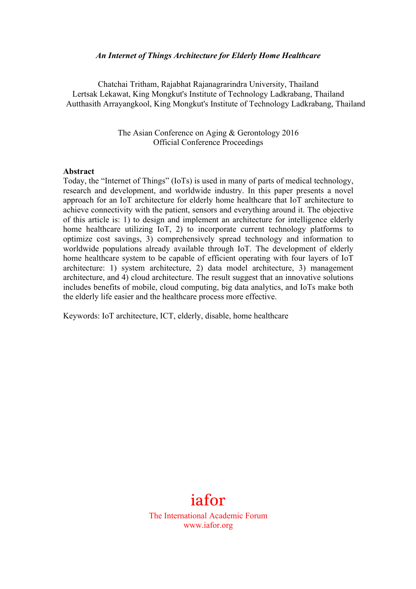#### *An Internet of Things Architecture for Elderly Home Healthcare*

Chatchai Tritham, Rajabhat Rajanagrarindra University, Thailand Lertsak Lekawat, King Mongkut's Institute of Technology Ladkrabang, Thailand Autthasith Arrayangkool, King Mongkut's Institute of Technology Ladkrabang, Thailand

> The Asian Conference on Aging & Gerontology 2016 Official Conference Proceedings

#### **Abstract**

Today, the "Internet of Things" (IoTs) is used in many of parts of medical technology, research and development, and worldwide industry. In this paper presents a novel approach for an IoT architecture for elderly home healthcare that IoT architecture to achieve connectivity with the patient, sensors and everything around it. The objective of this article is: 1) to design and implement an architecture for intelligence elderly home healthcare utilizing IoT, 2) to incorporate current technology platforms to optimize cost savings, 3) comprehensively spread technology and information to worldwide populations already available through IoT. The development of elderly home healthcare system to be capable of efficient operating with four layers of IoT architecture: 1) system architecture, 2) data model architecture, 3) management architecture, and 4) cloud architecture. The result suggest that an innovative solutions includes benefits of mobile, cloud computing, big data analytics, and IoTs make both the elderly life easier and the healthcare process more effective.

Keywords: IoT architecture, ICT, elderly, disable, home healthcare

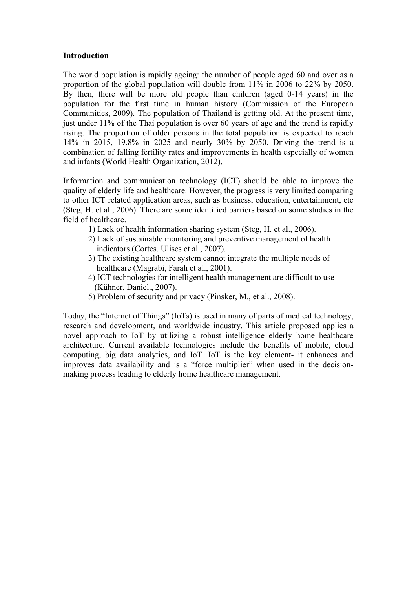#### **Introduction**

The world population is rapidly ageing: the number of people aged 60 and over as a proportion of the global population will double from 11% in 2006 to 22% by 2050. By then, there will be more old people than children (aged 0-14 years) in the population for the first time in human history (Commission of the European Communities, 2009). The population of Thailand is getting old. At the present time, just under 11% of the Thai population is over 60 years of age and the trend is rapidly rising. The proportion of older persons in the total population is expected to reach 14% in 2015, 19.8% in 2025 and nearly 30% by 2050. Driving the trend is a combination of falling fertility rates and improvements in health especially of women and infants (World Health Organization, 2012).

Information and communication technology (ICT) should be able to improve the quality of elderly life and healthcare. However, the progress is very limited comparing to other ICT related application areas, such as business, education, entertainment, etc (Steg, H. et al., 2006). There are some identified barriers based on some studies in the field of healthcare.

- 1) Lack of health information sharing system (Steg, H. et al., 2006).
- 2) Lack of sustainable monitoring and preventive management of health indicators (Cortes, Ulises et al., 2007).
- 3) The existing healthcare system cannot integrate the multiple needs of healthcare (Magrabi, Farah et al., 2001).
- 4) ICT technologies for intelligent health management are difficult to use (Kühner, Daniel., 2007).
- 5) Problem of security and privacy (Pinsker, M., et al., 2008).

Today, the "Internet of Things" (IoTs) is used in many of parts of medical technology, research and development, and worldwide industry. This article proposed applies a novel approach to IoT by utilizing a robust intelligence elderly home healthcare architecture. Current available technologies include the benefits of mobile, cloud computing, big data analytics, and IoT. IoT is the key element- it enhances and improves data availability and is a "force multiplier" when used in the decisionmaking process leading to elderly home healthcare management.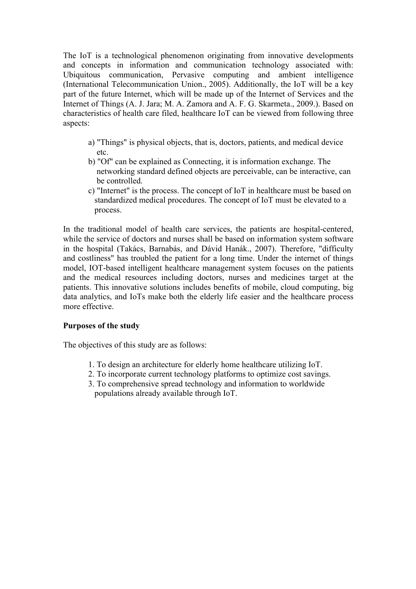The IoT is a technological phenomenon originating from innovative developments and concepts in information and communication technology associated with: Ubiquitous communication, Pervasive computing and ambient intelligence (International Telecommunication Union., 2005). Additionally, the IoT will be a key part of the future Internet, which will be made up of the Internet of Services and the Internet of Things (A. J. Jara; M. A. Zamora and A. F. G. Skarmeta., 2009.). Based on characteristics of health care filed, healthcare IoT can be viewed from following three aspects:

- a) "Things" is physical objects, that is, doctors, patients, and medical device etc.
- b) "Of" can be explained as Connecting, it is information exchange. The networking standard defined objects are perceivable, can be interactive, can be controlled.
- c) "Internet" is the process. The concept of IoT in healthcare must be based on standardized medical procedures. The concept of IoT must be elevated to a process.

In the traditional model of health care services, the patients are hospital-centered, while the service of doctors and nurses shall be based on information system software in the hospital (Takács, Barnabás, and Dávid Hanák., 2007). Therefore, "difficulty and costliness" has troubled the patient for a long time. Under the internet of things model, IOT-based intelligent healthcare management system focuses on the patients and the medical resources including doctors, nurses and medicines target at the patients. This innovative solutions includes benefits of mobile, cloud computing, big data analytics, and IoTs make both the elderly life easier and the healthcare process more effective.

### **Purposes of the study**

The objectives of this study are as follows:

- 1. To design an architecture for elderly home healthcare utilizing IoT.
- 2. To incorporate current technology platforms to optimize cost savings.
- 3. To comprehensive spread technology and information to worldwide populations already available through IoT.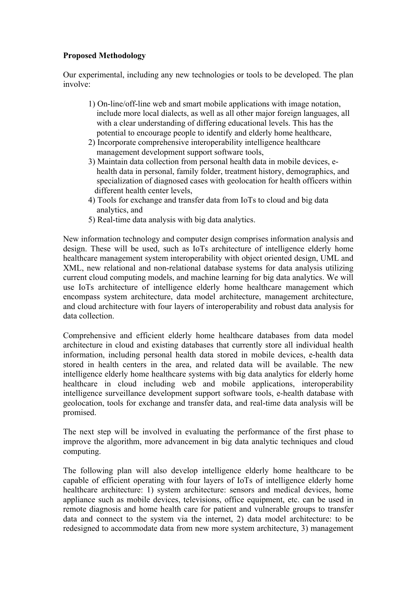# **Proposed Methodology**

Our experimental, including any new technologies or tools to be developed. The plan involve:

- 1) On-line/off-line web and smart mobile applications with image notation, include more local dialects, as well as all other major foreign languages, all with a clear understanding of differing educational levels. This has the potential to encourage people to identify and elderly home healthcare,
- 2) Incorporate comprehensive interoperability intelligence healthcare management development support software tools,
- 3) Maintain data collection from personal health data in mobile devices, e health data in personal, family folder, treatment history, demographics, and specialization of diagnosed cases with geolocation for health officers within different health center levels,
- 4) Tools for exchange and transfer data from IoTs to cloud and big data analytics, and
- 5) Real-time data analysis with big data analytics.

New information technology and computer design comprises information analysis and design. These will be used, such as IoTs architecture of intelligence elderly home healthcare management system interoperability with object oriented design, UML and XML, new relational and non-relational database systems for data analysis utilizing current cloud computing models, and machine learning for big data analytics. We will use IoTs architecture of intelligence elderly home healthcare management which encompass system architecture, data model architecture, management architecture, and cloud architecture with four layers of interoperability and robust data analysis for data collection.

Comprehensive and efficient elderly home healthcare databases from data model architecture in cloud and existing databases that currently store all individual health information, including personal health data stored in mobile devices, e-health data stored in health centers in the area, and related data will be available. The new intelligence elderly home healthcare systems with big data analytics for elderly home healthcare in cloud including web and mobile applications, interoperability intelligence surveillance development support software tools, e-health database with geolocation, tools for exchange and transfer data, and real-time data analysis will be promised.

The next step will be involved in evaluating the performance of the first phase to improve the algorithm, more advancement in big data analytic techniques and cloud computing.

The following plan will also develop intelligence elderly home healthcare to be capable of efficient operating with four layers of IoTs of intelligence elderly home healthcare architecture: 1) system architecture: sensors and medical devices, home appliance such as mobile devices, televisions, office equipment, etc. can be used in remote diagnosis and home health care for patient and vulnerable groups to transfer data and connect to the system via the internet, 2) data model architecture: to be redesigned to accommodate data from new more system architecture, 3) management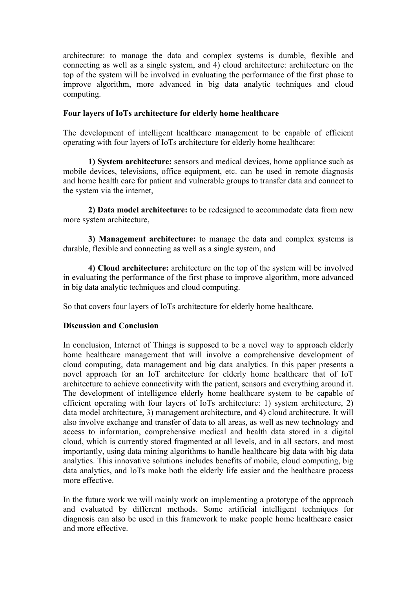architecture: to manage the data and complex systems is durable, flexible and connecting as well as a single system, and 4) cloud architecture: architecture on the top of the system will be involved in evaluating the performance of the first phase to improve algorithm, more advanced in big data analytic techniques and cloud computing.

## **Four layers of IoTs architecture for elderly home healthcare**

The development of intelligent healthcare management to be capable of efficient operating with four layers of IoTs architecture for elderly home healthcare:

**1) System architecture:** sensors and medical devices, home appliance such as mobile devices, televisions, office equipment, etc. can be used in remote diagnosis and home health care for patient and vulnerable groups to transfer data and connect to the system via the internet,

**2) Data model architecture:** to be redesigned to accommodate data from new more system architecture,

**3) Management architecture:** to manage the data and complex systems is durable, flexible and connecting as well as a single system, and

**4) Cloud architecture:** architecture on the top of the system will be involved in evaluating the performance of the first phase to improve algorithm, more advanced in big data analytic techniques and cloud computing.

So that covers four layers of IoTs architecture for elderly home healthcare.

# **Discussion and Conclusion**

In conclusion, Internet of Things is supposed to be a novel way to approach elderly home healthcare management that will involve a comprehensive development of cloud computing, data management and big data analytics. In this paper presents a novel approach for an IoT architecture for elderly home healthcare that of IoT architecture to achieve connectivity with the patient, sensors and everything around it. The development of intelligence elderly home healthcare system to be capable of efficient operating with four layers of IoTs architecture: 1) system architecture, 2) data model architecture, 3) management architecture, and 4) cloud architecture. It will also involve exchange and transfer of data to all areas, as well as new technology and access to information, comprehensive medical and health data stored in a digital cloud, which is currently stored fragmented at all levels, and in all sectors, and most importantly, using data mining algorithms to handle healthcare big data with big data analytics. This innovative solutions includes benefits of mobile, cloud computing, big data analytics, and IoTs make both the elderly life easier and the healthcare process more effective.

In the future work we will mainly work on implementing a prototype of the approach and evaluated by different methods. Some artificial intelligent techniques for diagnosis can also be used in this framework to make people home healthcare easier and more effective.